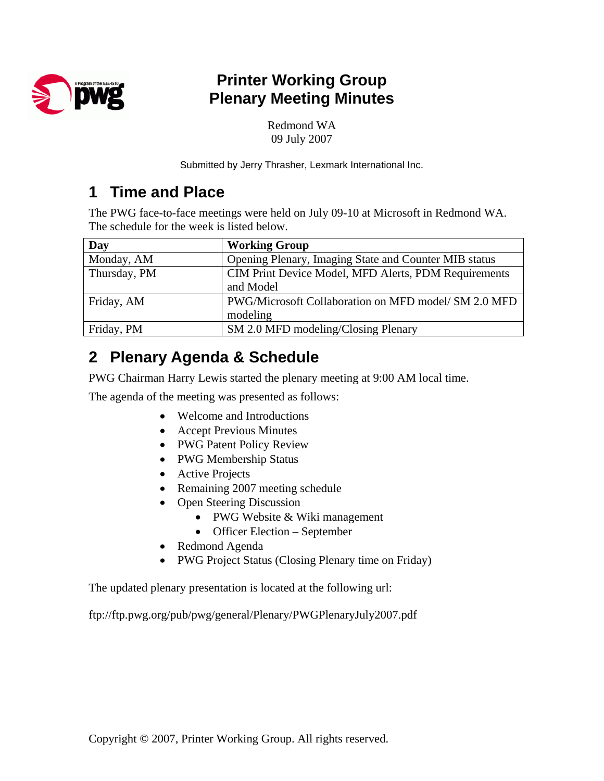

# **Printer Working Group Plenary Meeting Minutes**

Redmond WA 09 July 2007

Submitted by Jerry Thrasher, Lexmark International Inc.

## **1 Time and Place**

The PWG face-to-face meetings were held on July 09-10 at Microsoft in Redmond WA. The schedule for the week is listed below.

| Day          | <b>Working Group</b>                                  |
|--------------|-------------------------------------------------------|
| Monday, AM   | Opening Plenary, Imaging State and Counter MIB status |
| Thursday, PM | CIM Print Device Model, MFD Alerts, PDM Requirements  |
|              | and Model                                             |
| Friday, AM   | PWG/Microsoft Collaboration on MFD model/ SM 2.0 MFD  |
|              | modeling                                              |
| Friday, PM   | SM 2.0 MFD modeling/Closing Plenary                   |

# **2 Plenary Agenda & Schedule**

PWG Chairman Harry Lewis started the plenary meeting at 9:00 AM local time.

The agenda of the meeting was presented as follows:

- Welcome and Introductions
- Accept Previous Minutes
- PWG Patent Policy Review
- PWG Membership Status
- Active Projects
- Remaining 2007 meeting schedule
- Open Steering Discussion
	- PWG Website & Wiki management
	- Officer Election September
- Redmond Agenda
- PWG Project Status (Closing Plenary time on Friday)

The updated plenary presentation is located at the following url:

ftp://ftp.pwg.org/pub/pwg/general/Plenary/PWGPlenaryJuly2007.pdf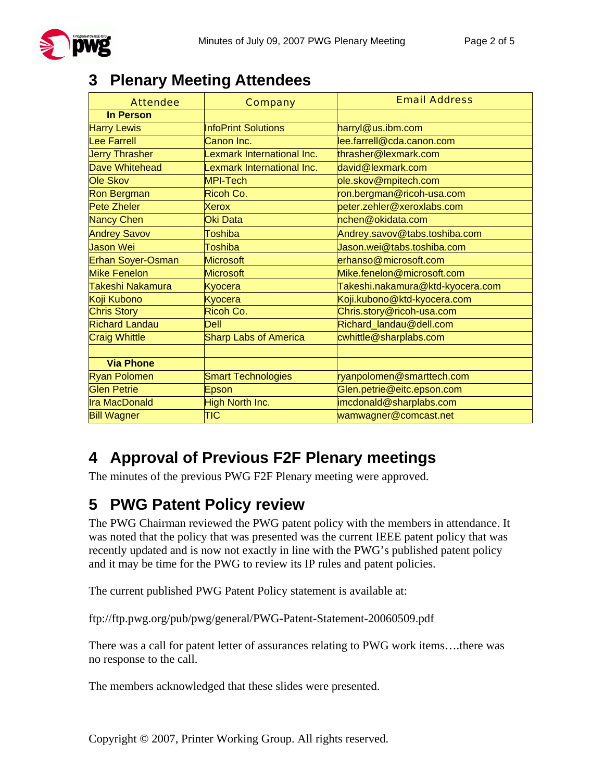

## **3 Plenary Meeting Attendees**

| <b>Attendee</b>          | <b>Company</b>               | <b>Email Address</b>             |
|--------------------------|------------------------------|----------------------------------|
| <b>In Person</b>         |                              |                                  |
| <b>Harry Lewis</b>       | <b>InfoPrint Solutions</b>   | harryl@us.ibm.com                |
| <b>Lee Farrell</b>       | Canon Inc.                   | lee.farrell@cda.canon.com        |
| <b>Jerry Thrasher</b>    | Lexmark International Inc.   | thrasher@lexmark.com             |
| <b>Dave Whitehead</b>    | Lexmark International Inc.   | david@lexmark.com                |
| Ole Skov                 | MPI-Tech                     | ole.skov@mpitech.com             |
| <b>Ron Bergman</b>       | Ricoh Co.                    | ron.bergman@ricoh-usa.com        |
| Pete Zheler              | <b>Xerox</b>                 | peter.zehler@xeroxlabs.com       |
| <b>Nancy Chen</b>        | Oki Data                     | nchen@okidata.com                |
| <b>Andrey Savov</b>      | <b>Toshiba</b>               | Andrey.savov@tabs.toshiba.com    |
| Jason Wei                | <b>Toshiba</b>               | Jason.wei@tabs.toshiba.com       |
| <b>Erhan Soyer-Osman</b> | <b>Microsoft</b>             | erhanso@microsoft.com            |
| <b>Mike Fenelon</b>      | <b>Microsoft</b>             | Mike.fenelon@microsoft.com       |
| Takeshi Nakamura         | Kyocera                      | Takeshi.nakamura@ktd-kyocera.com |
| Koji Kubono              | Kyocera                      | Koji.kubono@ktd-kyocera.com      |
| <b>Chris Story</b>       | Ricoh Co.                    | Chris.story@ricoh-usa.com        |
| <b>Richard Landau</b>    | <b>Dell</b>                  | Richard_landau@dell.com          |
| <b>Craig Whittle</b>     | <b>Sharp Labs of America</b> | cwhittle@sharplabs.com           |
|                          |                              |                                  |
| <b>Via Phone</b>         |                              |                                  |
| <b>Ryan Polomen</b>      | <b>Smart Technologies</b>    | ryanpolomen@smarttech.com        |
| <b>Glen Petrie</b>       | Epson                        | Glen.petrie@eitc.epson.com       |
| <b>Ira MacDonald</b>     | High North Inc.              | imcdonald@sharplabs.com          |
| <b>Bill Wagner</b>       | $\overline{\mathsf{TIC}}$    | wamwagner@comcast.net            |

# **4 Approval of Previous F2F Plenary meetings**

The minutes of the previous PWG F2F Plenary meeting were approved.

# **5 PWG Patent Policy review**

The PWG Chairman reviewed the PWG patent policy with the members in attendance. It was noted that the policy that was presented was the current IEEE patent policy that was recently updated and is now not exactly in line with the PWG's published patent policy and it may be time for the PWG to review its IP rules and patent policies.

The current published PWG Patent Policy statement is available at:

ftp://ftp.pwg.org/pub/pwg/general/PWG-Patent-Statement-20060509.pdf

There was a call for patent letter of assurances relating to PWG work items….there was no response to the call.

The members acknowledged that these slides were presented.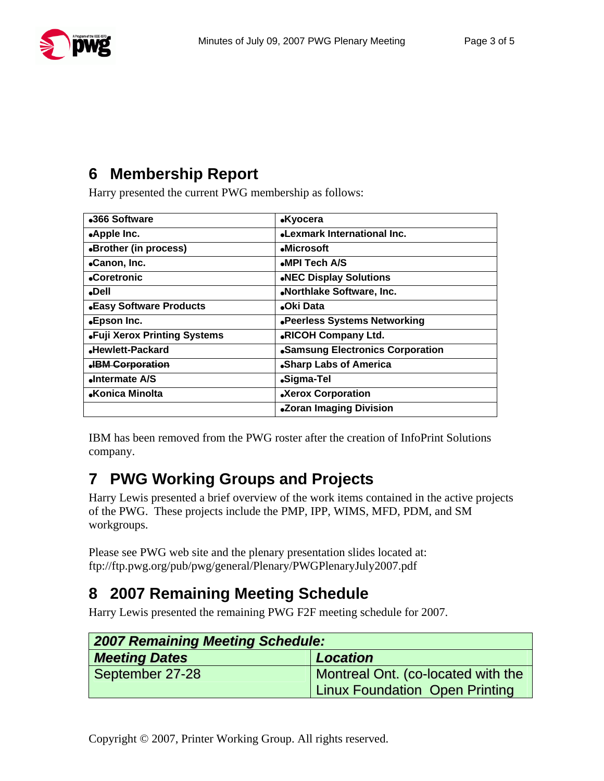

# **6 Membership Report**

Harry presented the current PWG membership as follows:

| •366 Software                | <b>.Kyocera</b>                  |
|------------------------------|----------------------------------|
| •Apple Inc.                  | •Lexmark International Inc.      |
| •Brother (in process)        | •Microsoft                       |
| •Canon, Inc.                 | •MPI Tech A/S                    |
| •Coretronic                  | .NEC Display Solutions           |
| •Dell                        | .Northlake Software, Inc.        |
| •Easy Software Products      | •Oki Data                        |
| •Epson Inc.                  | .Peerless Systems Networking     |
| .Fuji Xerox Printing Systems | <b>.RICOH Company Ltd.</b>       |
| •Hewlett-Packard             | •Samsung Electronics Corporation |
| <b>.BM Corporation</b>       | •Sharp Labs of America           |
| <b>«Intermate A/S</b>        | •Sigma-Tel                       |
| •Konica Minolta              | •Xerox Corporation               |
|                              | .Zoran Imaging Division          |

IBM has been removed from the PWG roster after the creation of InfoPrint Solutions company.

# **7 PWG Working Groups and Projects**

Harry Lewis presented a brief overview of the work items contained in the active projects of the PWG. These projects include the PMP, IPP, WIMS, MFD, PDM, and SM workgroups.

Please see PWG web site and the plenary presentation slides located at: ftp://ftp.pwg.org/pub/pwg/general/Plenary/PWGPlenaryJuly2007.pdf

# **8 2007 Remaining Meeting Schedule**

Harry Lewis presented the remaining PWG F2F meeting schedule for 2007.

| 2007 Remaining Meeting Schedule: |                                                                             |  |
|----------------------------------|-----------------------------------------------------------------------------|--|
| <b>Meeting Dates</b>             | <b>Location</b>                                                             |  |
| September 27-28                  | Montreal Ont. (co-located with the<br><b>Linux Foundation Open Printing</b> |  |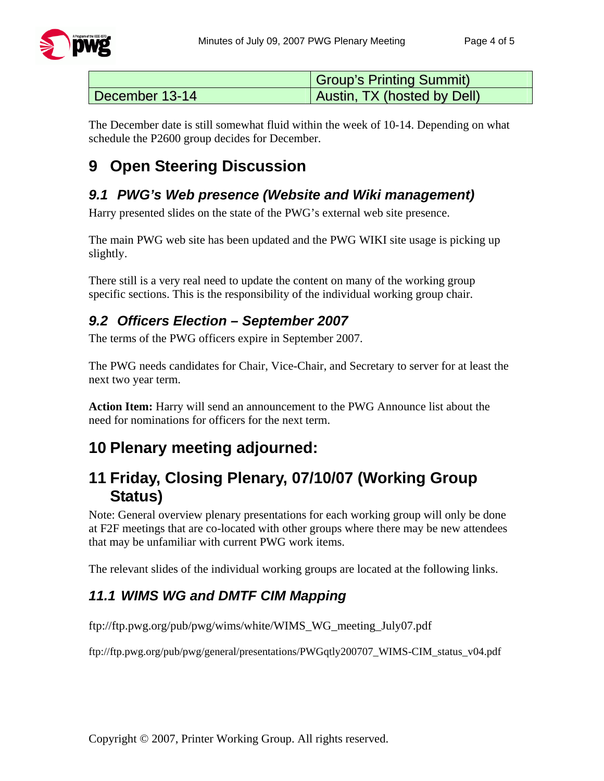

|                | <b>Group's Printing Summit)</b> |
|----------------|---------------------------------|
| December 13-14 | Austin, TX (hosted by Dell)     |

The December date is still somewhat fluid within the week of 10-14. Depending on what schedule the P2600 group decides for December.

# **9 Open Steering Discussion**

### *9.1 PWG's Web presence (Website and Wiki management)*

Harry presented slides on the state of the PWG's external web site presence.

The main PWG web site has been updated and the PWG WIKI site usage is picking up slightly.

There still is a very real need to update the content on many of the working group specific sections. This is the responsibility of the individual working group chair.

#### *9.2 Officers Election – September 2007*

The terms of the PWG officers expire in September 2007.

The PWG needs candidates for Chair, Vice-Chair, and Secretary to server for at least the next two year term.

**Action Item:** Harry will send an announcement to the PWG Announce list about the need for nominations for officers for the next term.

# **10 Plenary meeting adjourned:**

## **11 Friday, Closing Plenary, 07/10/07 (Working Group Status)**

Note: General overview plenary presentations for each working group will only be done at F2F meetings that are co-located with other groups where there may be new attendees that may be unfamiliar with current PWG work items.

The relevant slides of the individual working groups are located at the following links.

#### *11.1 WIMS WG and DMTF CIM Mapping*

ftp://ftp.pwg.org/pub/pwg/wims/white/WIMS\_WG\_meeting\_July07.pdf

ftp://ftp.pwg.org/pub/pwg/general/presentations/PWGqtly200707\_WIMS-CIM\_status\_v04.pdf